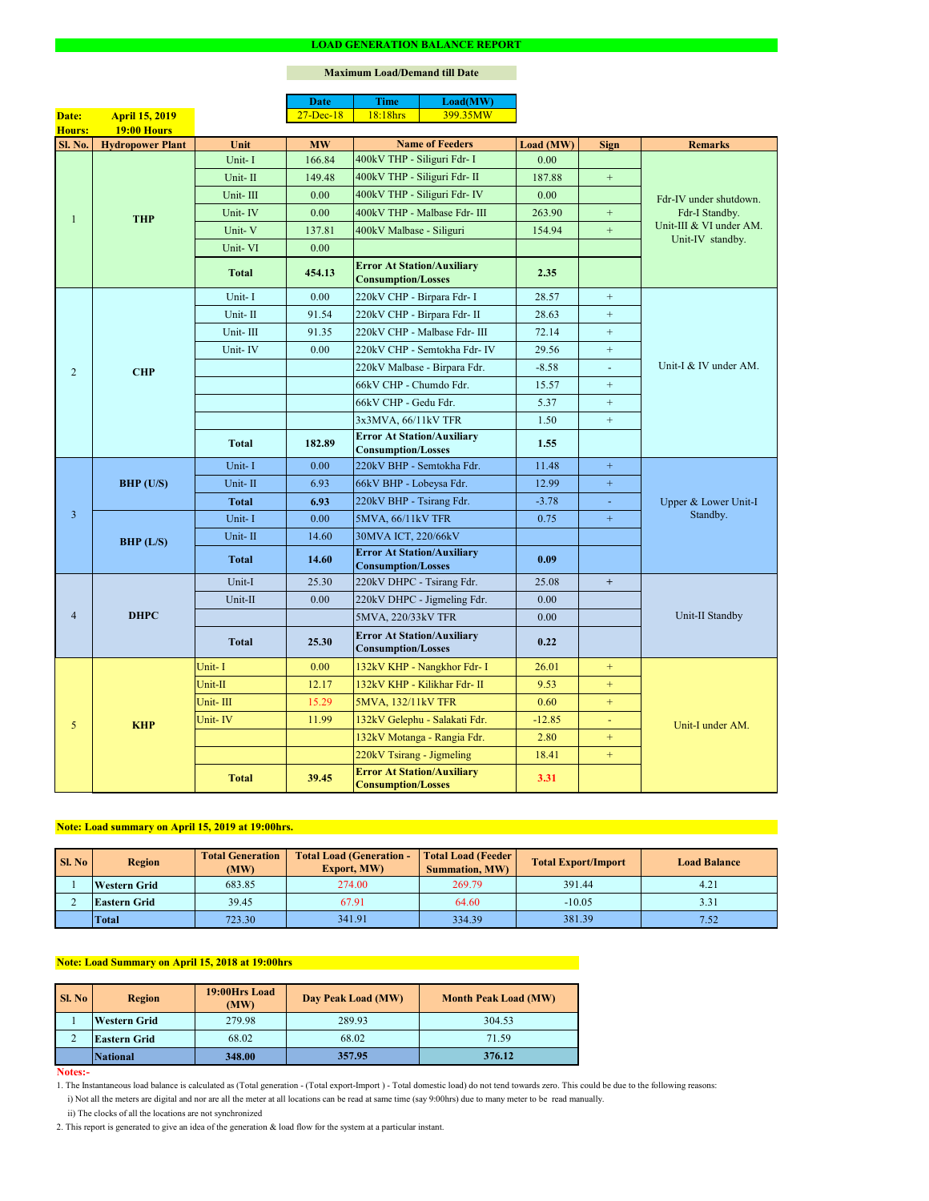#### **Notes:-**

2. This report is generated to give an idea of the generation & load flow for the system at a particular instant.

### **Maximum Load/Demand till Date**

ii) The clocks of all the locations are not synchronized

1. The Instantaneous load balance is calculated as (Total generation - (Total export-Import ) - Total domestic load) do not tend towards zero. This could be due to the following reasons:

| <b>Sl. No</b> | <b>Region</b>       | <b>Total Generation</b><br>(MW) | <b>Total Load (Generation -</b><br><b>Export, MW)</b> |        | <b>Total Load (Feeder)</b><br><b>Total Export/Import</b> | <b>Load Balance</b> |
|---------------|---------------------|---------------------------------|-------------------------------------------------------|--------|----------------------------------------------------------|---------------------|
|               | <b>Western Grid</b> | 683.85                          | 274.00                                                | 269.79 | 391.44                                                   | 4.21                |
|               | <b>Eastern Grid</b> | 39.45                           | 67.91                                                 | 64.60  | $-10.05$                                                 | 3.31                |
|               | <b>Total</b>        | 723.30                          | 341.91                                                | 334.39 | 381.39                                                   | 7.52                |

|                |                         |              | <b>Date</b>   | <b>Time</b>                                                    | Load(MW)                      |           |                  |                                             |  |
|----------------|-------------------------|--------------|---------------|----------------------------------------------------------------|-------------------------------|-----------|------------------|---------------------------------------------|--|
| Date:          | <b>April 15, 2019</b>   |              | $27 - Dec-18$ | 18:18hrs                                                       | 399.35MW                      |           |                  |                                             |  |
| Hours:         | <b>19:00 Hours</b>      |              |               |                                                                |                               |           |                  |                                             |  |
| <b>Sl. No.</b> | <b>Hydropower Plant</b> | Unit         | <b>MW</b>     |                                                                | <b>Name of Feeders</b>        | Load (MW) | <b>Sign</b>      | <b>Remarks</b>                              |  |
|                |                         | Unit-I       | 166.84        | 400kV THP - Siliguri Fdr- I                                    |                               | 0.00      |                  |                                             |  |
|                |                         | Unit-II      | 149.48        | 400kV THP - Siliguri Fdr- II                                   |                               | 187.88    | $+$              |                                             |  |
|                |                         | Unit-III     | 0.00          |                                                                | 400kV THP - Siliguri Fdr- IV  | 0.00      |                  | Fdr-IV under shutdown.                      |  |
| 1              | <b>THP</b>              | Unit-IV      | 0.00          |                                                                | 400kV THP - Malbase Fdr- III  | 263.90    | $+$              | Fdr-I Standby.                              |  |
|                |                         | Unit-V       | 137.81        | 400kV Malbase - Siliguri                                       |                               | 154.94    | $+$              | Unit-III & VI under AM.<br>Unit-IV standby. |  |
|                |                         | Unit-VI      | 0.00          |                                                                |                               |           |                  |                                             |  |
|                |                         | <b>Total</b> | 454.13        | <b>Error At Station/Auxiliary</b><br><b>Consumption/Losses</b> |                               | 2.35      |                  |                                             |  |
|                |                         | Unit-I       | 0.00          | 220kV CHP - Birpara Fdr- I                                     |                               | 28.57     | $+$              |                                             |  |
|                |                         | Unit-II      | 91.54         | 220kV CHP - Birpara Fdr- II                                    |                               | 28.63     | $+$              |                                             |  |
|                |                         | Unit-III     | 91.35         |                                                                | 220kV CHP - Malbase Fdr- III  | 72.14     | $+$              |                                             |  |
|                |                         | Unit-IV      | 0.00          |                                                                | 220kV CHP - Semtokha Fdr- IV  | 29.56     | $+$              |                                             |  |
| 2              | <b>CHP</b>              |              |               |                                                                | 220kV Malbase - Birpara Fdr.  | $-8.58$   | $\sim$           | Unit-I & IV under AM.                       |  |
|                |                         |              |               | 66kV CHP - Chumdo Fdr.                                         |                               | 15.57     | $+$              |                                             |  |
|                |                         |              |               | 66kV CHP - Gedu Fdr.                                           |                               | 5.37      | $+$              |                                             |  |
|                |                         |              |               | 3x3MVA, 66/11kV TFR                                            |                               | 1.50      | $\boldsymbol{+}$ |                                             |  |
|                |                         | <b>Total</b> | 182.89        | <b>Error At Station/Auxiliary</b><br><b>Consumption/Losses</b> |                               | 1.55      |                  |                                             |  |
|                | BHP (U/S)               | Unit-I       | 0.00          | 220kV BHP - Semtokha Fdr.                                      |                               | 11.48     | $+$              | Upper & Lower Unit-I<br>Standby.            |  |
|                |                         | Unit-II      | 6.93          | 66kV BHP - Lobeysa Fdr.                                        |                               | 12.99     | $\pm$            |                                             |  |
|                |                         | Total        | 6.93          | 220kV BHP - Tsirang Fdr.                                       |                               | $-3.78$   | $\omega$         |                                             |  |
| $\overline{3}$ |                         | Unit-I       | 0.00          | 5MVA, 66/11kV TFR                                              |                               | 0.75      | $+$              |                                             |  |
|                | BHP (L/S)               | Unit-II      | 14.60         | 30MVA ICT, 220/66kV                                            |                               |           |                  |                                             |  |
|                |                         | <b>Total</b> | 14.60         | <b>Error At Station/Auxiliary</b><br><b>Consumption/Losses</b> |                               | 0.09      |                  |                                             |  |
|                | <b>DHPC</b>             | Unit-I       | 25.30         | 220kV DHPC - Tsirang Fdr.                                      |                               | 25.08     | $+$              |                                             |  |
|                |                         | Unit-II      | 0.00          |                                                                | 220kV DHPC - Jigmeling Fdr.   | 0.00      |                  |                                             |  |
| $\overline{4}$ |                         |              |               | 5MVA, 220/33kV TFR                                             |                               | 0.00      |                  | Unit-II Standby                             |  |
|                |                         | <b>Total</b> | 25.30         | <b>Error At Station/Auxiliary</b><br><b>Consumption/Losses</b> |                               | 0.22      |                  |                                             |  |
|                |                         | Unit-I       | 0.00          |                                                                | 132kV KHP - Nangkhor Fdr- I   | 26.01     | $+$              |                                             |  |
|                |                         | Unit-II      | 12.17         |                                                                | 132kV KHP - Kilikhar Fdr- II  | 9.53      | $+$              |                                             |  |
|                |                         | Unit-III     | 15.29         | 5MVA, 132/11kV TFR                                             |                               | 0.60      | $+$              |                                             |  |
| 5 <sub>0</sub> | <b>KHP</b>              | Unit-IV      | 11.99         |                                                                | 132kV Gelephu - Salakati Fdr. | $-12.85$  | $\equiv$         | Unit-I under AM.                            |  |
|                |                         |              |               |                                                                | 132kV Motanga - Rangia Fdr.   | 2.80      | $+$              |                                             |  |
|                |                         |              |               | 220kV Tsirang - Jigmeling                                      |                               | 18.41     | $+$              |                                             |  |
|                |                         | <b>Total</b> | 39.45         | <b>Error At Station/Auxiliary</b><br><b>Consumption/Losses</b> |                               | 3.31      |                  |                                             |  |

| <b>Sl. No</b> | 19:00Hrs Load<br><b>Region</b><br>(MW) |        | Day Peak Load (MW) | <b>Month Peak Load (MW)</b> |
|---------------|----------------------------------------|--------|--------------------|-----------------------------|
|               | <b>Western Grid</b>                    | 279.98 | 289.93             | 304.53                      |
|               | <b>Eastern Grid</b>                    | 68.02  | 68.02              | 71.59                       |
|               | <b>National</b>                        | 348.00 | 357.95             | 376.12                      |

## **Note: Load summary on April 15, 2019 at 19:00hrs.**

i) Not all the meters are digital and nor are all the meter at all locations can be read at same time (say 9:00hrs) due to many meter to be read manually.

# **Note: Load Summary on April 15, 2018 at 19:00hrs**

#### **LOAD GENERATION BALANCE REPORT**